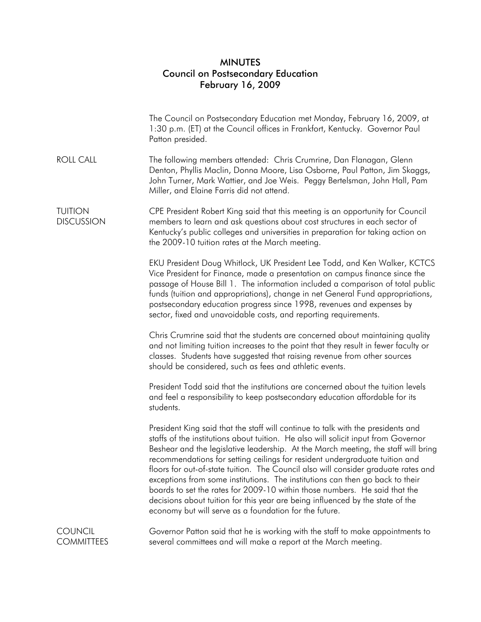## MINUTES Council on Postsecondary Education February 16, 2009

|                                     | The Council on Postsecondary Education met Monday, February 16, 2009, at<br>1:30 p.m. (ET) at the Council offices in Frankfort, Kentucky. Governor Paul<br>Patton presided.                                                                                                                                                                                                                                                                                                                                                                                                                                                                                                                                                                  |
|-------------------------------------|----------------------------------------------------------------------------------------------------------------------------------------------------------------------------------------------------------------------------------------------------------------------------------------------------------------------------------------------------------------------------------------------------------------------------------------------------------------------------------------------------------------------------------------------------------------------------------------------------------------------------------------------------------------------------------------------------------------------------------------------|
| <b>ROLL CALL</b>                    | The following members attended: Chris Crumrine, Dan Flanagan, Glenn<br>Denton, Phyllis Maclin, Donna Moore, Lisa Osborne, Paul Patton, Jim Skaggs,<br>John Turner, Mark Wattier, and Joe Weis. Peggy Bertelsman, John Hall, Pam<br>Miller, and Elaine Farris did not attend.                                                                                                                                                                                                                                                                                                                                                                                                                                                                 |
| <b>TUITION</b><br><b>DISCUSSION</b> | CPE President Robert King said that this meeting is an opportunity for Council<br>members to learn and ask questions about cost structures in each sector of<br>Kentucky's public colleges and universities in preparation for taking action on<br>the 2009-10 tuition rates at the March meeting.                                                                                                                                                                                                                                                                                                                                                                                                                                           |
|                                     | EKU President Doug Whitlock, UK President Lee Todd, and Ken Walker, KCTCS<br>Vice President for Finance, made a presentation on campus finance since the<br>passage of House Bill 1. The information included a comparison of total public<br>funds (tuition and appropriations), change in net General Fund appropriations,<br>postsecondary education progress since 1998, revenues and expenses by<br>sector, fixed and unavoidable costs, and reporting requirements.                                                                                                                                                                                                                                                                    |
|                                     | Chris Crumrine said that the students are concerned about maintaining quality<br>and not limiting tuition increases to the point that they result in fewer faculty or<br>classes. Students have suggested that raising revenue from other sources<br>should be considered, such as fees and athletic events.                                                                                                                                                                                                                                                                                                                                                                                                                                 |
|                                     | President Todd said that the institutions are concerned about the tuition levels<br>and feel a responsibility to keep postsecondary education affordable for its<br>students.                                                                                                                                                                                                                                                                                                                                                                                                                                                                                                                                                                |
|                                     | President King said that the staff will continue to talk with the presidents and<br>staffs of the institutions about tuition. He also will solicit input from Governor<br>Beshear and the legislative leadership. At the March meeting, the staff will bring<br>recommendations for setting ceilings for resident undergraduate tuition and<br>floors for out-of-state tuition. The Council also will consider graduate rates and<br>exceptions from some institutions. The institutions can then go back to their<br>boards to set the rates for 2009-10 within those numbers. He said that the<br>decisions about tuition for this year are being influenced by the state of the<br>economy but will serve as a foundation for the future. |
| <b>COUNCIL</b><br><b>COMMITTEES</b> | Governor Patton said that he is working with the staff to make appointments to<br>several committees and will make a report at the March meeting.                                                                                                                                                                                                                                                                                                                                                                                                                                                                                                                                                                                            |